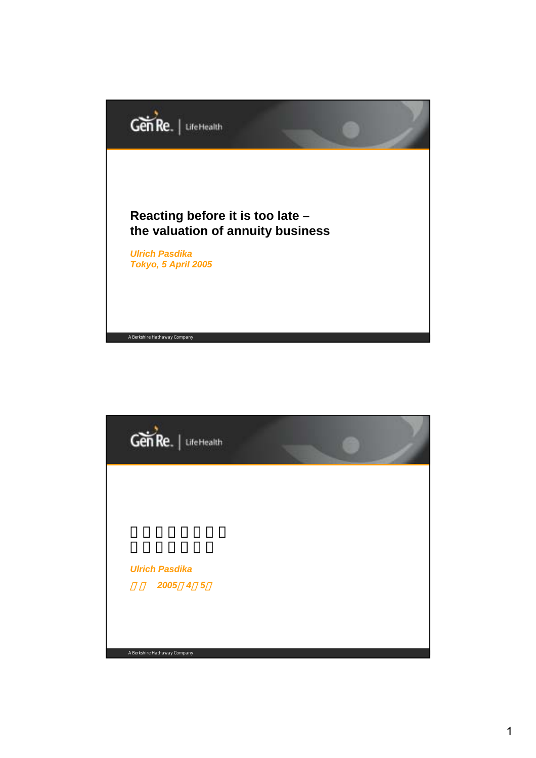

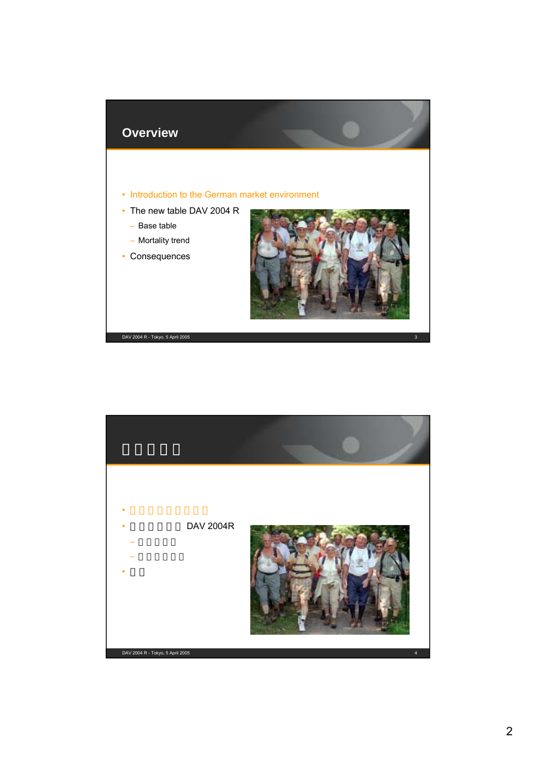

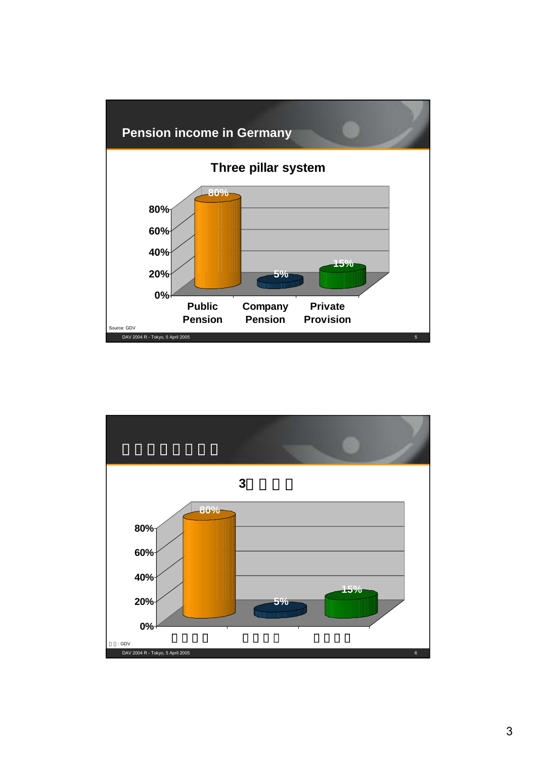# **Pension income in Germany**



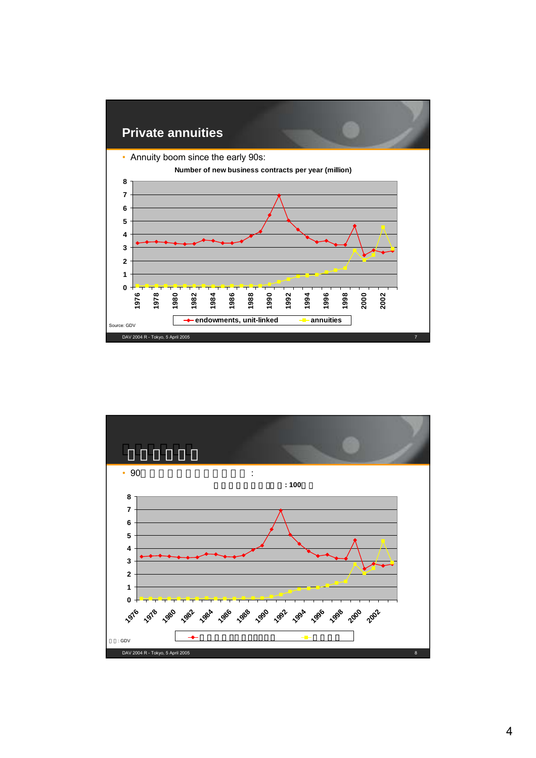

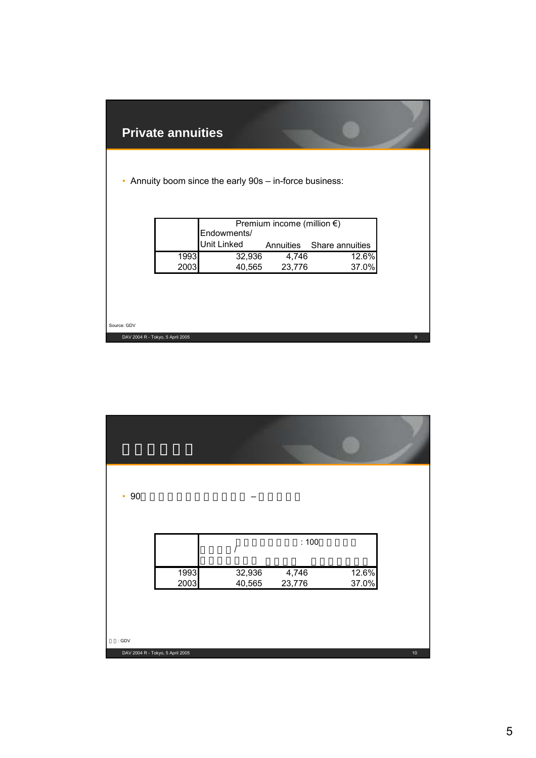|             | <b>Private annuities</b>         |                                                       |                                      |                           |   |
|-------------|----------------------------------|-------------------------------------------------------|--------------------------------------|---------------------------|---|
| ۰           |                                  | Annuity boom since the early 90s - in-force business: |                                      |                           |   |
|             |                                  |                                                       | Premium income (million $\epsilon$ ) |                           |   |
|             |                                  | Endowments/<br>Unit Linked                            |                                      | Annuities Share annuities |   |
|             | 1993<br>2003                     | 32,936<br>40,565                                      | 4,746<br>23,776                      | 12.6%<br>37.0%            |   |
|             |                                  |                                                       |                                      |                           |   |
|             |                                  |                                                       |                                      |                           |   |
| Source: GDV | DAV 2004 R - Tokyo, 5 April 2005 |                                                       |                                      |                           | 9 |

П

| 90<br>$\bullet$ |                                  |                  |                 |                |    |
|-----------------|----------------------------------|------------------|-----------------|----------------|----|
|                 |                                  |                  | : 100           |                |    |
|                 | 1993<br>2003                     | 32,936<br>40,565 | 4,746<br>23,776 | 12.6%<br>37.0% |    |
|                 |                                  |                  |                 |                |    |
| : GDV           | DAV 2004 R - Tokyo, 5 April 2005 |                  |                 |                | 10 |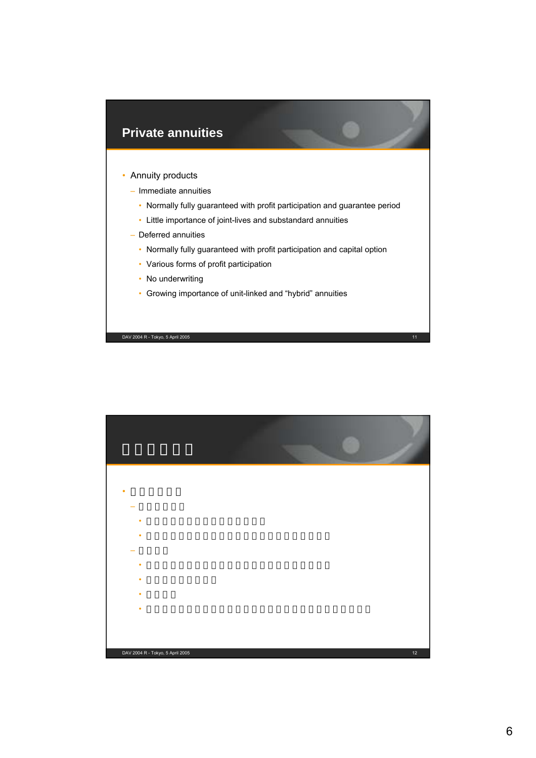

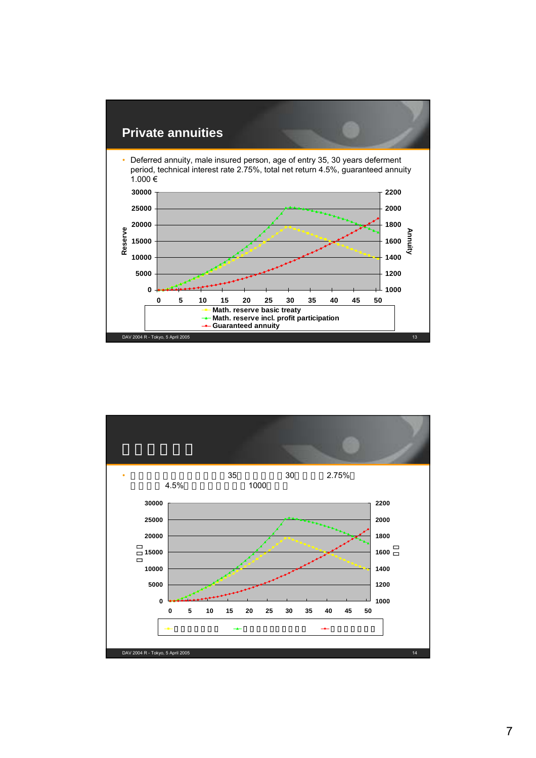

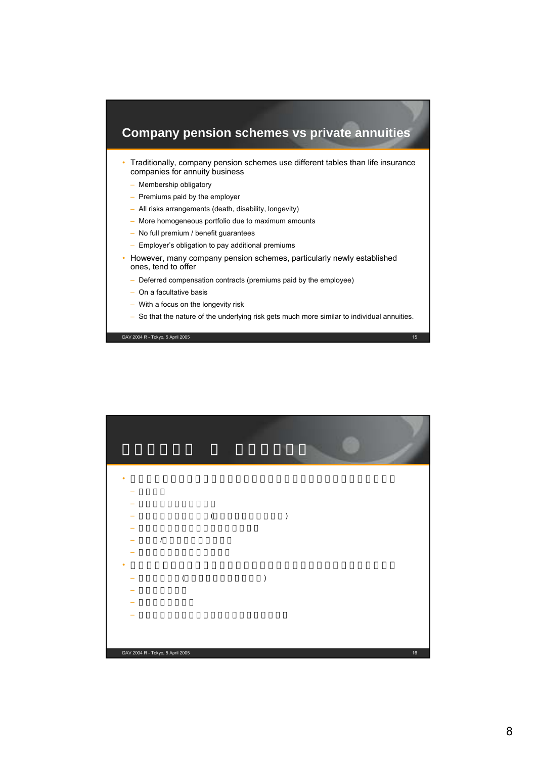# **Company pension schemes vs private annuities**

- Traditionally, company pension schemes use different tables than life insurance companies for annuity business
	- Membership obligatory
	- Premiums paid by the employer
	- All risks arrangements (death, disability, longevity)
	- More homogeneous portfolio due to maximum amounts
	- No full premium / benefit guarantees
	- Employer's obligation to pay additional premiums
- However, many company pension schemes, particularly newly established ones, tend to offer
	- Deferred compensation contracts (premiums paid by the employee)
	- On a facultative basis
	- With a focus on the longevity risk
	- So that the nature of the underlying risk gets much more similar to individual annuities.

DAV 2004 R - Tokyo, 5 April 2005 15

DAV 2004 R - Tokyo, 5 April 2005 16 • 従来、企業年金制度では生命保険会社とは異なる生命表が使用されてきた – 全員加入  $\equiv$  experimental control  $\sim$ – すべてのリスクに対応(死亡、就業不能、長寿)  $\equiv$  and  $\equiv$  and  $\equiv$  and  $\equiv$  and  $\equiv$  and  $\equiv$  $/$  $\equiv$  experimental control  $\sim$ • ただし、多くの企業年金、特に新規に開始された企業年金には下記が多い  $-$  (  $)$ – 任意加入ベース – 長寿リスクに照準 – リスクの性質は個人年金保険との類似点が多い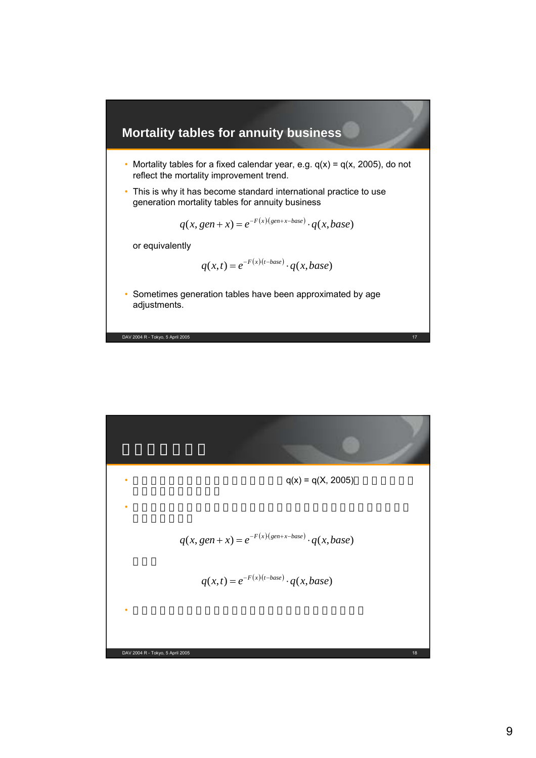

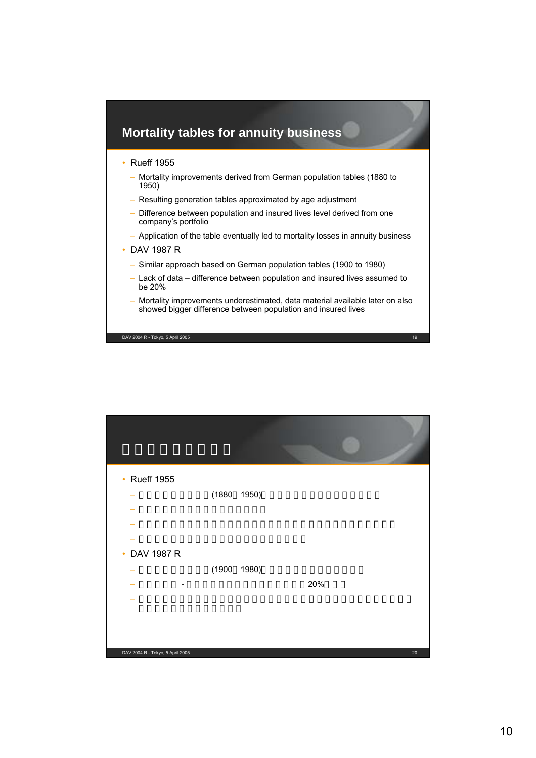

| <b>Rueff 1955</b><br>$\bullet$   |             |     |    |
|----------------------------------|-------------|-----|----|
|                                  | (1880 1950) |     |    |
|                                  |             |     |    |
|                                  |             |     |    |
|                                  |             |     |    |
| DAV 1987 R<br>$\bullet$          |             |     |    |
|                                  | (1900 1980) |     |    |
|                                  |             | 20% |    |
|                                  |             |     |    |
|                                  |             |     |    |
|                                  |             |     |    |
| DAV 2004 R - Tokyo, 5 April 2005 |             |     | 20 |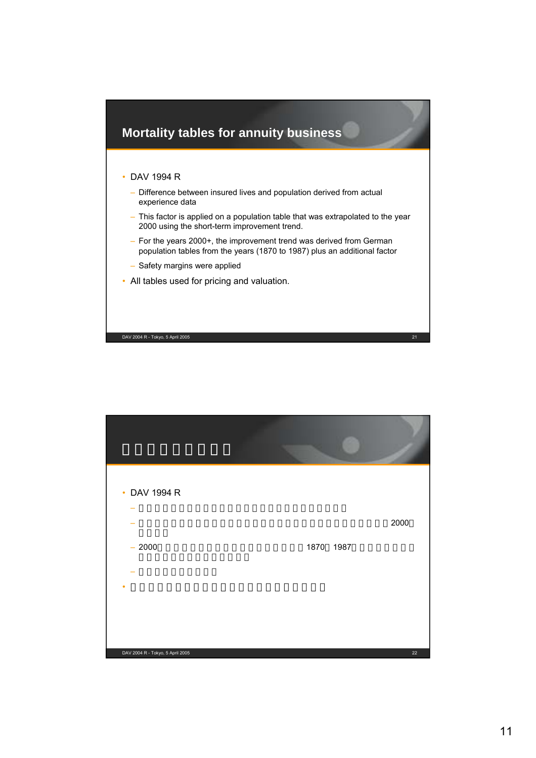

| DAV 1994 R<br>$\bullet$          |           |        |
|----------------------------------|-----------|--------|
|                                  |           | 2000   |
| $-2000$                          | 1870 1987 |        |
|                                  |           |        |
|                                  |           |        |
|                                  |           |        |
| DAV 2004 R - Tokyo, 5 April 2005 |           | $22\,$ |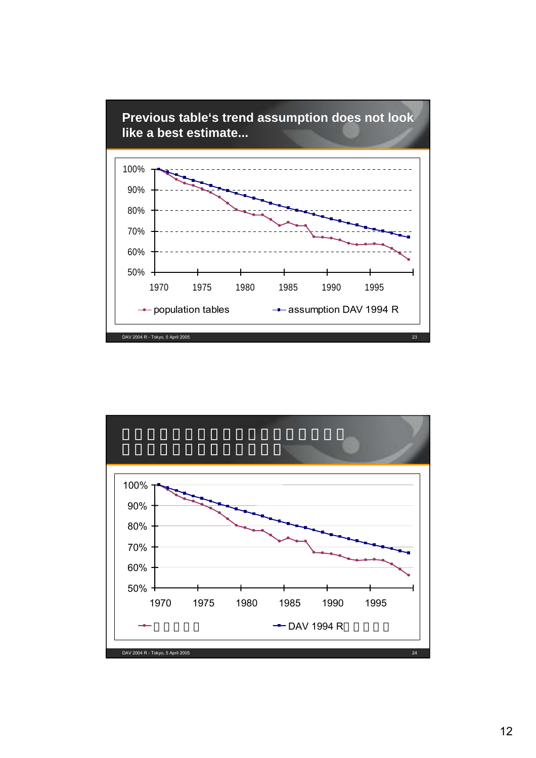

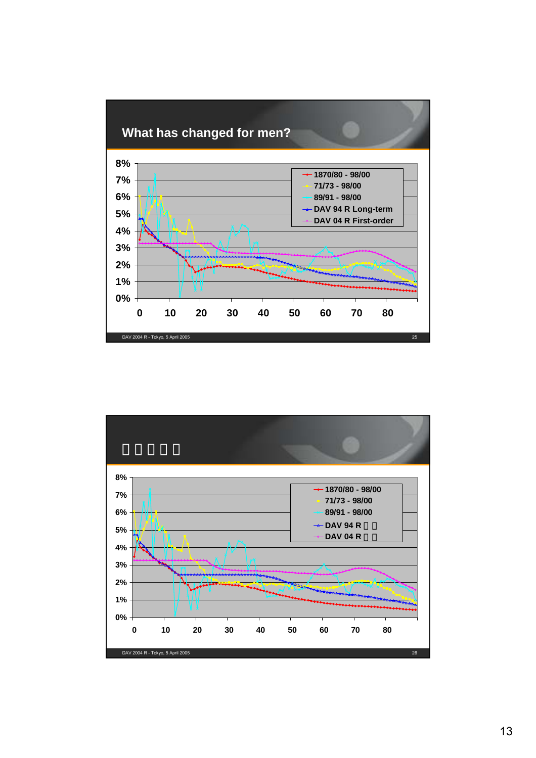# **What has changed for men?**



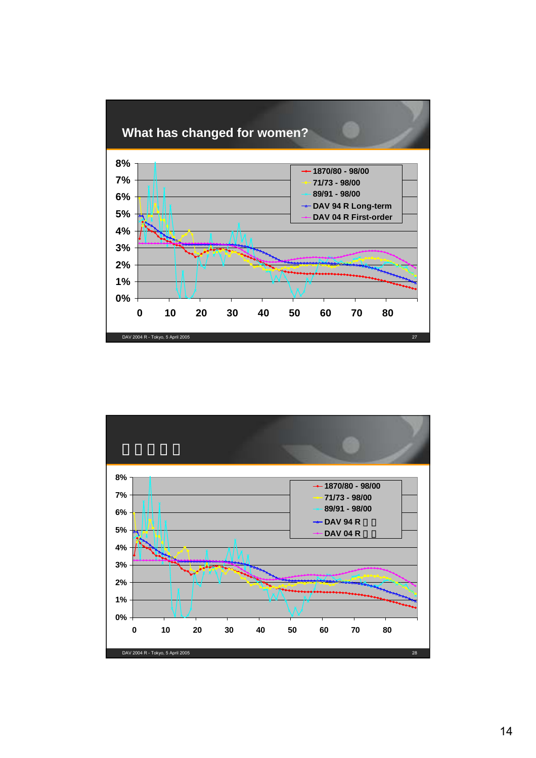



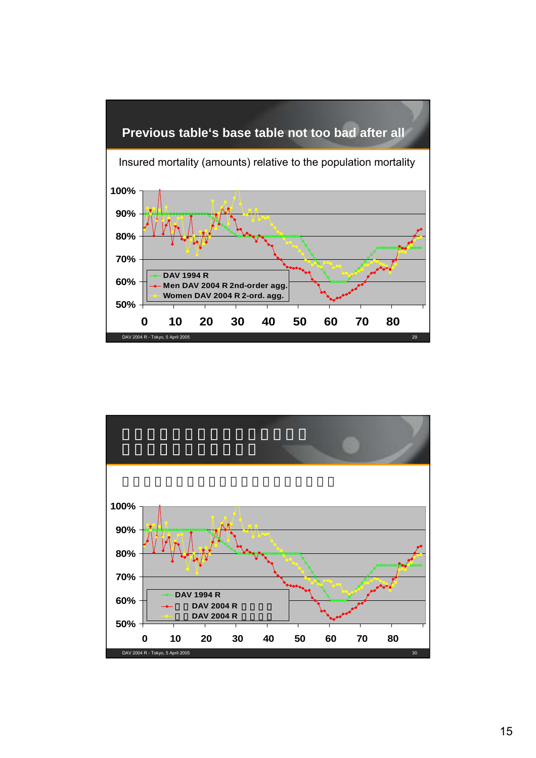

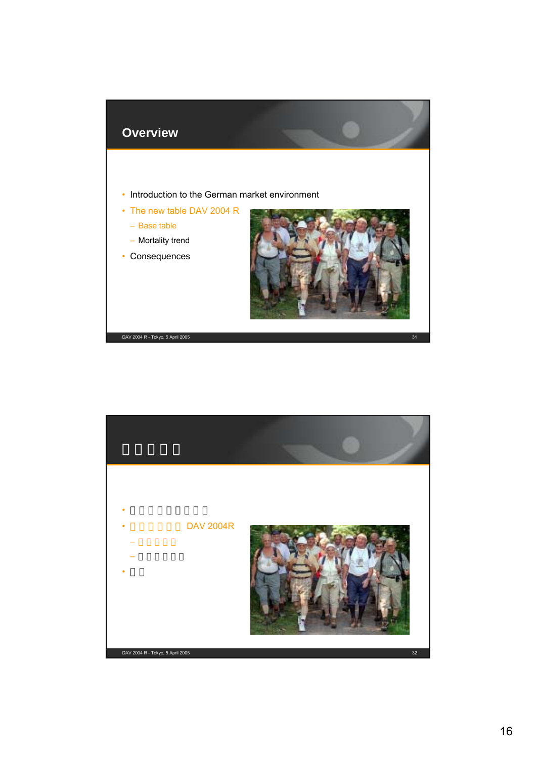

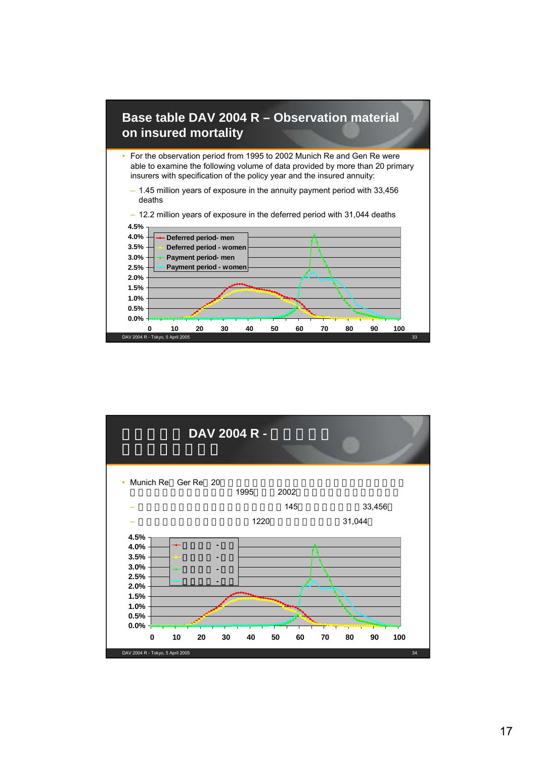

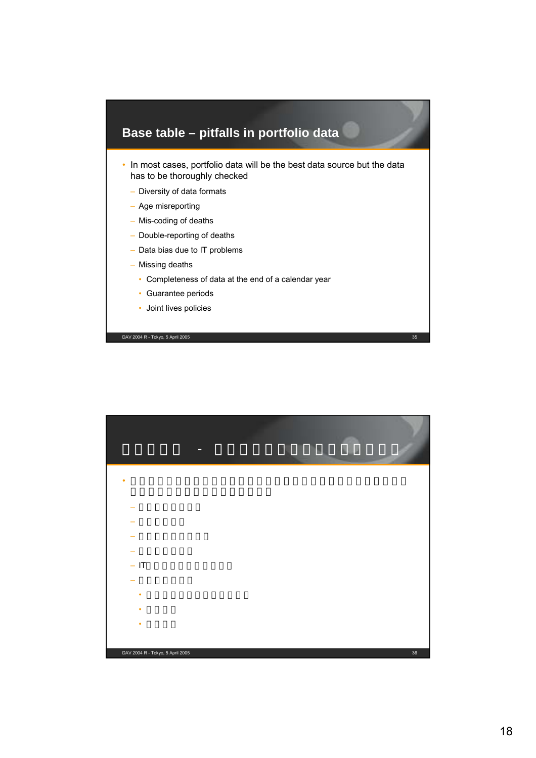# **Base table – pitfalls in portfolio data**

- In most cases, portfolio data will be the best data source but the data has to be thoroughly checked
	- Diversity of data formats
	- Age misreporting
	- Mis-coding of deaths
	- Double-reporting of deaths
	- Data bias due to IT problems
	- Missing deaths
		- Completeness of data at the end of a calendar year
		- Guarantee periods
		- Joint lives policies

DAV 2004 R - Tokyo, 5 April 2005 35

DAV 2004 R - Tokyo, 5 April 2005 36 • 多くの場合、ポートフォリオデータは最善のデータソースであるが、 – データ形式の違い – 年齢の誤報告 – 死亡のコード誤処理 – 死亡の二重報告  $-$  IT – 死亡の報告漏れ •  $\mathbf{e}^{\mathbf{e}}$  +  $\mathbf{e}^{\mathbf{e}}$  +  $\mathbf{e}^{\mathbf{e}}$  +  $\mathbf{e}^{\mathbf{e}}$  +  $\mathbf{e}^{\mathbf{e}}$  +  $\mathbf{e}^{\mathbf{e}}$ • 保証期間 • 連生保険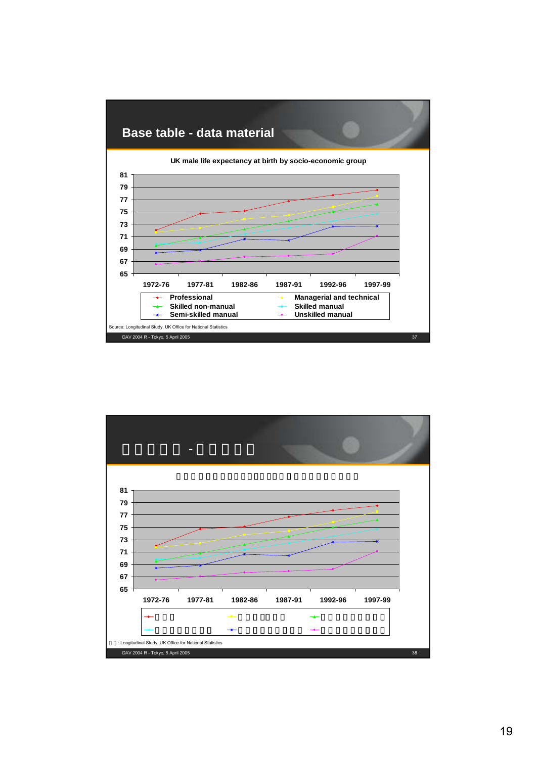

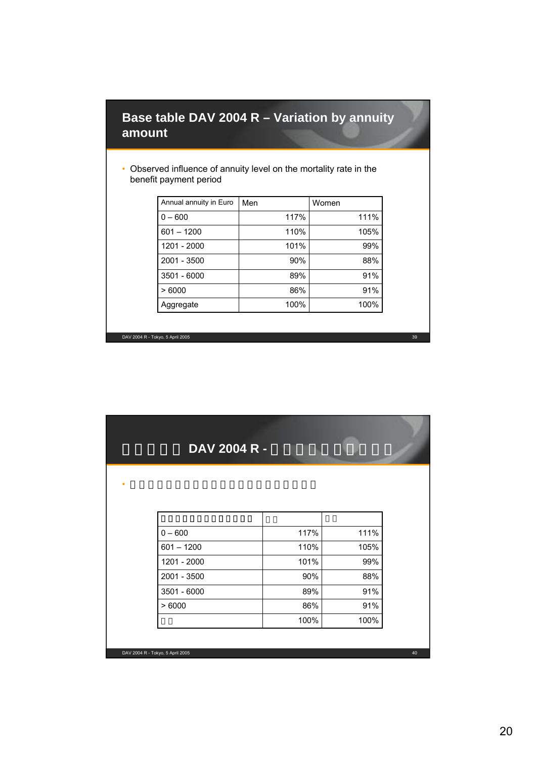#### **Base table DAV 2004 R – Variation by annuity amount**

#### • Observed influence of annuity level on the mortality rate in the benefit payment period

| Annual annuity in Euro | Men  | Women |
|------------------------|------|-------|
| $0 - 600$              | 117% | 111%  |
| $601 - 1200$           | 110% | 105%  |
| 1201 - 2000            | 101% | 99%   |
| 2001 - 3500            | 90%  | 88%   |
| 3501 - 6000            | 89%  | 91%   |
| >6000                  | 86%  | 91%   |
| Aggregate              | 100% | 100%  |

DAV 2004 R - Tokyo, 5 April 2005 39

| DAV 2004 R - |      |      |
|--------------|------|------|
|              |      |      |
|              |      |      |
|              |      |      |
|              |      |      |
| $0 - 600$    | 117% | 111% |
| $601 - 1200$ | 110% | 105% |
| 1201 - 2000  | 101% | 99%  |
| 2001 - 3500  | 90%  | 88%  |
| 3501 - 6000  | 89%  | 91%  |
| >6000        | 86%  | 91%  |
|              |      |      |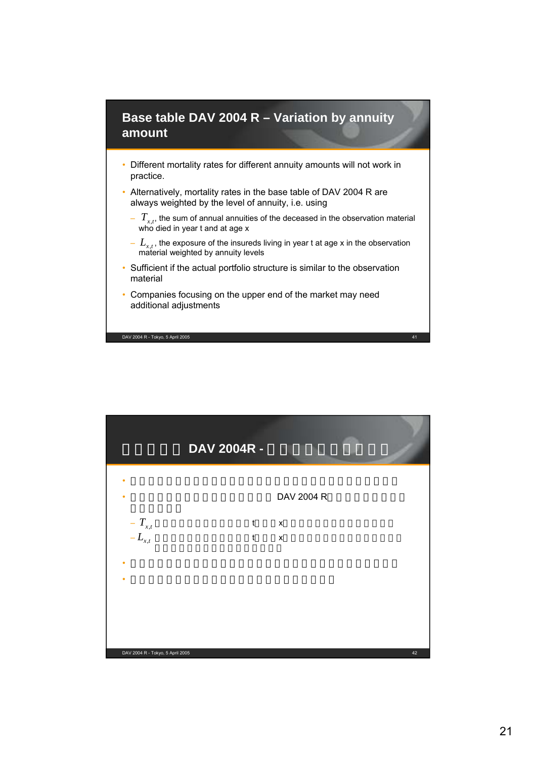#### **Base table DAV 2004 R – Variation by annuity amount**

- Different mortality rates for different annuity amounts will not work in practice.
- Alternatively, mortality rates in the base table of DAV 2004 R are always weighted by the level of annuity, i.e. using
	- $I_{r,t}$ , the sum of annual annuities of the deceased in the observation material who died in year t and at age x  $T_{x,t}$
	- $L_{x,t}$ , the exposure of the insureds living in year t at age x in the observation material weighted by annuity levels
- Sufficient if the actual portfolio structure is similar to the observation material
- Companies focusing on the upper end of the market may need additional adjustments

DAV 2004 R - Tokyo, 5 April 2005 41

DAV 2004 R - Tokyo, 5 April 2005 42 DAV 2004R -• 実務では年金額により死亡率が異なるということはうまくゆかない DAV 2004 R  $-T_{rt}$  tx  $-L_{rt}$  tx • 実際のポートフォリオ構造が調査データに類似してれば十分に有効  $\bullet$  - Geometric Research is a set of  $\mathcal{A}$  -  $\mathcal{A}$  -  $\mathcal{A}$  -  $\mathcal{A}$  -  $\mathcal{A}$  -  $\mathcal{A}$  -  $\mathcal{A}$  -  $\mathcal{A}$  $-T_{x,t}$  $-L_{x,t}$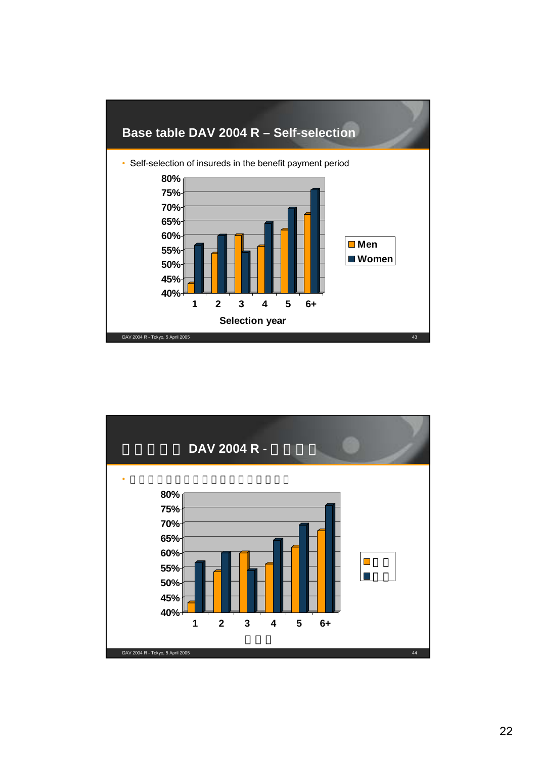

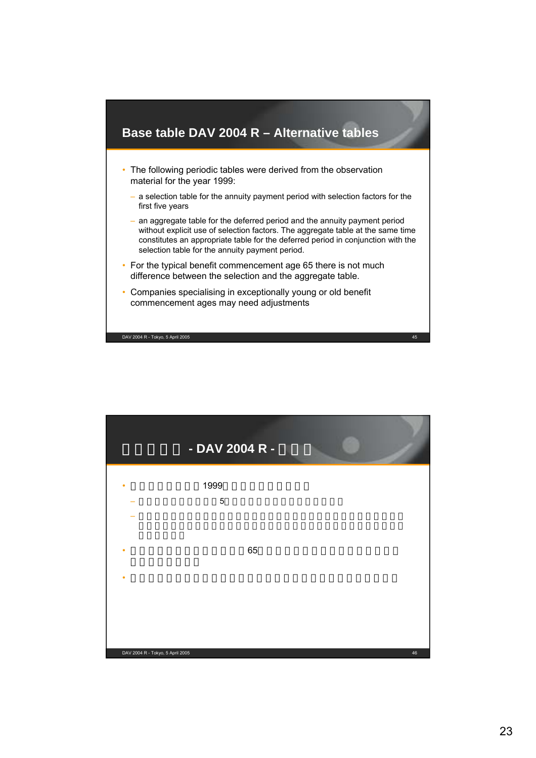

|                                  | - DAV 2004 R -      |    |    |
|----------------------------------|---------------------|----|----|
|                                  | 1999<br>$\mathbf 5$ |    |    |
|                                  |                     | 65 |    |
| ٠                                |                     |    |    |
| DAV 2004 R - Tokyo, 5 April 2005 |                     |    | 46 |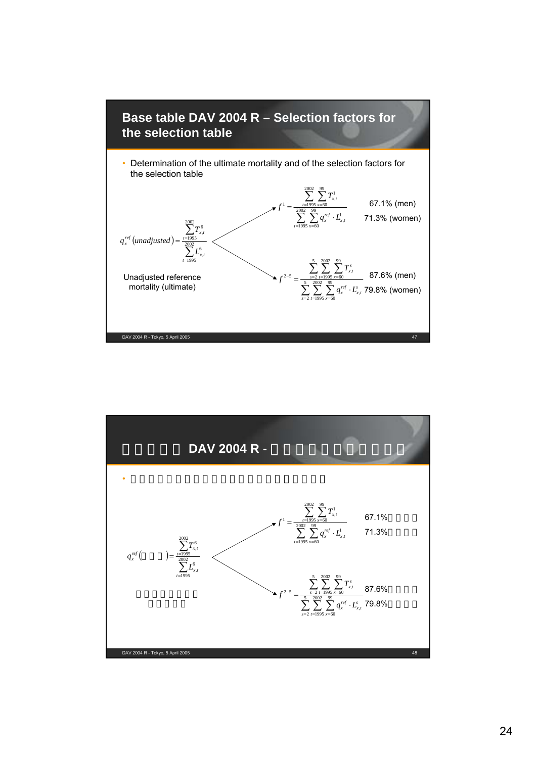

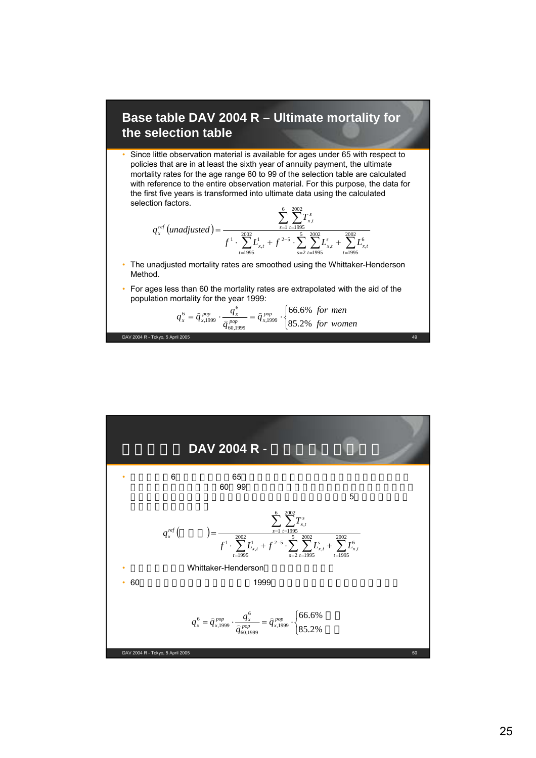#### **Base table DAV 2004 R – Ultimate mortality for the selection table**

• Since little observation material is available for ages under 65 with respect to policies that are in at least the sixth year of annuity payment, the ultimate mortality rates for the age range 60 to 99 of the selection table are calculated with reference to the entire observation material. For this purpose, the data for the first five years is transformed into ultimate data using the calculated selection factors.

$$
q_{x}^{ref} (unadjusted) = \frac{\sum_{s=1}^{6} \sum_{t=1995}^{2002} T_{x,t}^{s}}{f^{1} \cdot \sum_{t=1995}^{2002} L_{x,t}^{1} + f^{2-5} \cdot \sum_{s=2}^{5} \sum_{t=1995}^{2002} L_{x,t}^{s} + \sum_{t=1995}^{2002} L_{x,t}^{6}}
$$

- The unadjusted mortality rates are smoothed using the Whittaker-Henderson Method.
- For ages less than 60 the mortality rates are extrapolated with the aid of the population mortality for the year 1999:

$$
q_x^6 = \hat{q}_{x,1999}^{pop} \cdot \frac{q_x^6}{\hat{q}_{60,1999}^{pop}} = \hat{q}_{x,1999}^{pop} \cdot \begin{cases} 66.6\% \text{ for men} \\ 85.2\% \text{ for women} \end{cases}
$$

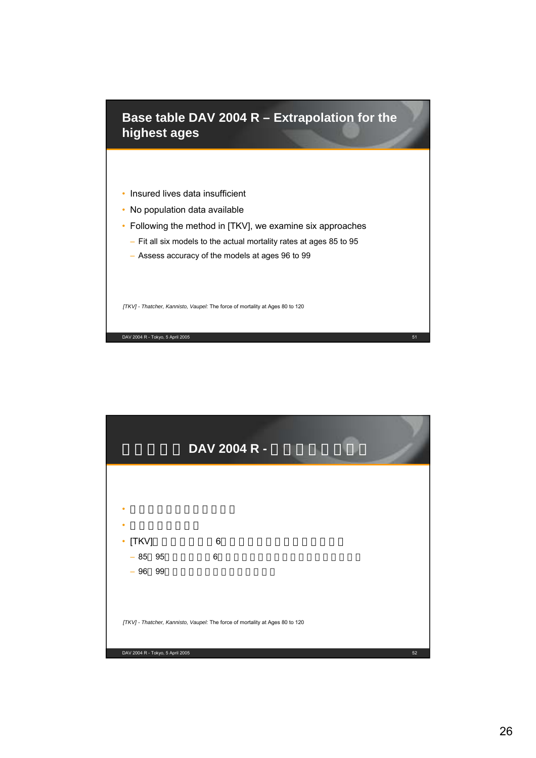

- Insured lives data insufficient
- No population data available
- Following the method in [TKV], we examine six approaches
	- Fit all six models to the actual mortality rates at ages 85 to 95
	- Assess accuracy of the models at ages 96 to 99

*[TKV] - Thatcher, Kannisto, Vaupel:* The force of mortality at Ages 80 to 120

DAV 2004 R - Tokyo, 5 April 2005 51

DAV 2004 R - Tokyo, 5 April 2005 52 DAV 2004 R -*[TKV] - Thatcher, Kannisto, Vaupel:* The force of mortality at Ages 80 to 120  $\bullet$  and  $\bullet$  and  $\bullet$  and  $\bullet$  and  $\bullet$  and  $\bullet$  and  $\bullet$ • <sub>Control</sub> Control Control Co •  $[TKV]$  6  $-85$  95 6  $-96$  99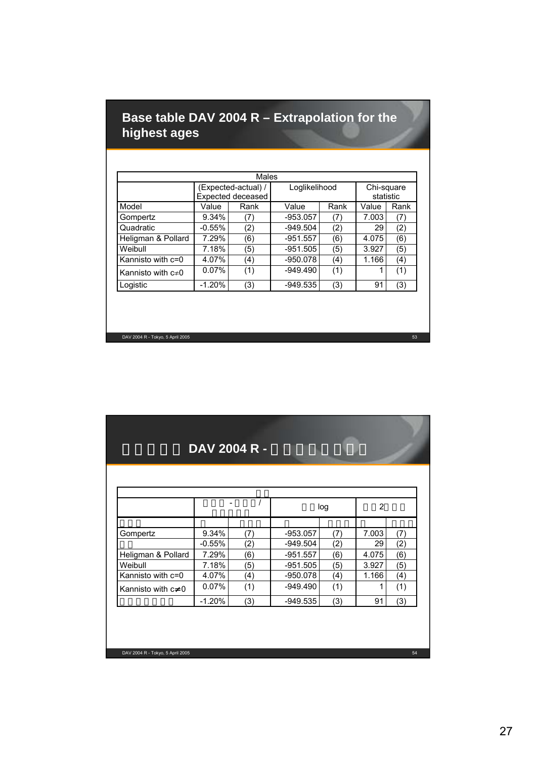# **Base table DAV 2004 R – Extrapolation for the highest ages**

| Males                   |                                          |      |               |      |                         |      |  |
|-------------------------|------------------------------------------|------|---------------|------|-------------------------|------|--|
|                         | (Expected-actual) /<br>Expected deceased |      | Loglikelihood |      | Chi-square<br>statistic |      |  |
| Model                   | Value                                    | Rank | Value         | Rank | Value                   | Rank |  |
| Gompertz                | 9.34%                                    | (7)  | $-953.057$    | (7)  | 7.003                   | (7)  |  |
| Quadratic               | $-0.55%$                                 | (2)  | $-949.504$    | (2)  | 29                      | (2)  |  |
| Heligman & Pollard      | 7.29%                                    | (6)  | $-951.557$    | (6)  | 4.075                   | (6)  |  |
| Weibull                 | 7.18%                                    | (5)  | $-951.505$    | (5)  | 3.927                   | (5)  |  |
| Kannisto with c=0       | 4.07%                                    | (4)  | $-950.078$    | (4)  | 1.166                   | (4)  |  |
| Kannisto with $c\neq 0$ | 0.07%                                    | (1)  | $-949.490$    | (1)  |                         | (1)  |  |
| Logistic                | $-1.20%$                                 | (3)  | $-949.535$    | (3)  | 91                      | (3)  |  |

DAV 2004 R - Tokyo, 5 April 2005 53

# DAV 2004 R -

|                    |          |     | log        |     | 2     |     |
|--------------------|----------|-----|------------|-----|-------|-----|
|                    |          |     |            |     |       |     |
| Gompertz           | 9.34%    | (7) | $-953.057$ | (7) | 7.003 | (7) |
|                    | $-0.55%$ | (2) | $-949.504$ | (2) | 29    | (2) |
| Heligman & Pollard | 7.29%    | (6) | $-951.557$ | (6) | 4.075 | (6) |
| Weibull            | 7.18%    | (5) | $-951.505$ | (5) | 3.927 | (5) |
| Kannisto with c=0  | 4.07%    | (4) | $-950.078$ | (4) | 1.166 | (4) |
| Kannisto with c 0  | 0.07%    | (1) | $-949.490$ | (1) |       | (1) |
|                    | $-1.20%$ | (3) | $-949.535$ | (3) | 91    | (3) |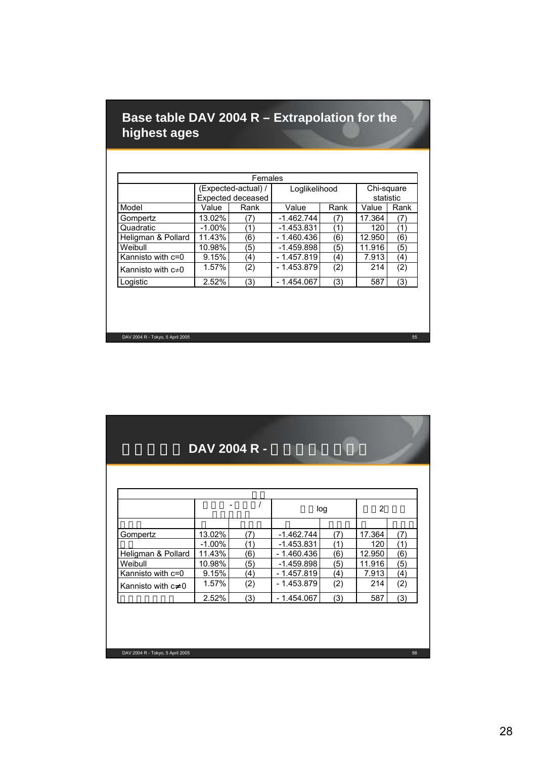# **Base table DAV 2004 R – Extrapolation for the highest ages**

| Females                 |           |                     |               |      |            |      |  |
|-------------------------|-----------|---------------------|---------------|------|------------|------|--|
|                         |           | (Expected-actual) / | Loglikelihood |      | Chi-square |      |  |
|                         |           | Expected deceased   |               |      | statistic  |      |  |
| Model                   | Value     | Rank                | Value         | Rank | Value      | Rank |  |
| Gompertz                | 13.02%    | (7)                 | $-1.462.744$  | (7)  | 17.364     | (7   |  |
| Quadratic               | $-1.00\%$ | 11                  | $-1.453.831$  | (1   | 120        | (1`  |  |
| Heligman & Pollard      | 11.43%    | (6)                 | $-1.460.436$  | (6)  | 12.950     | (6)  |  |
| Weibull                 | 10.98%    | (5)                 | $-1.459.898$  | (5)  | 11.916     | (5)  |  |
| Kannisto with c=0       | 9.15%     | (4)                 | $-1.457.819$  | (4)  | 7.913      | (4)  |  |
| Kannisto with $c\neq 0$ | 1.57%     | (2)                 | $-1.453.879$  | (2)  | 214        | (2)  |  |
| Logistic                | 2.52%     | (3)                 | $-1.454.067$  | (3)  | 587        | (3)  |  |

DAV 2004 R - Tokyo, 5 April 2005 55

#### DAV 2004 R -

|                    |           |     | log          |     | 2      |     |
|--------------------|-----------|-----|--------------|-----|--------|-----|
|                    |           |     |              |     |        |     |
| Gompertz           | 13.02%    | (7) | $-1.462.744$ | (7) | 17.364 | (7) |
|                    | $-1.00\%$ | (1) | $-1.453.831$ | (1` | 120    | (1) |
| Heligman & Pollard | 11.43%    | (6) | $-1.460.436$ | (6) | 12.950 | (6) |
| Weibull            | 10.98%    | (5) | $-1.459.898$ | (5) | 11.916 | (5) |
| Kannisto with c=0  | 9.15%     | (4) | $-1.457.819$ | (4) | 7.913  | (4) |
| Kannisto with c 0  | 1.57%     | (2) | $-1.453.879$ | (2) | 214    | (2) |
|                    | 2.52%     | (3) | $-1.454.067$ | (3) | 587    | (3) |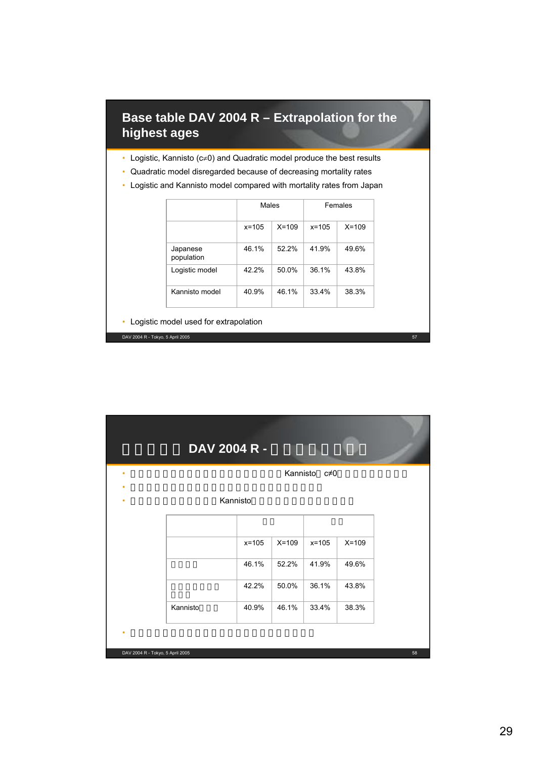# **Base table DAV 2004 R – Extrapolation for the highest ages**

- Logistic, Kannisto (c≠0) and Quadratic model produce the best results
- Quadratic model disregarded because of decreasing mortality rates
- Logistic and Kannisto model compared with mortality rates from Japan

|                        | Males     |           | <b>Females</b> |           |
|------------------------|-----------|-----------|----------------|-----------|
|                        | $x = 105$ | $X = 109$ | $x = 105$      | $X = 109$ |
| Japanese<br>population | 46.1%     | 52.2%     | 41.9%          | 49.6%     |
| Logistic model         | 42.2%     | 50.0%     | 36.1%          | 43.8%     |
| Kannisto model         | 40.9%     | 46.1%     | 33.4%          | 38.3%     |

• Logistic model used for extrapolation

|          |           |         | Kannisto c≠0 |         |
|----------|-----------|---------|--------------|---------|
|          | Kannisto  |         |              |         |
|          | $x = 105$ | $X=109$ | $x = 105$    | $X=109$ |
|          | 46.1%     | 52.2%   | 41.9%        | 49.6%   |
|          | 42.2%     | 50.0%   | 36.1%        | 43.8%   |
| Kannisto | 40.9%     | 46.1%   | 33.4%        | 38.3%   |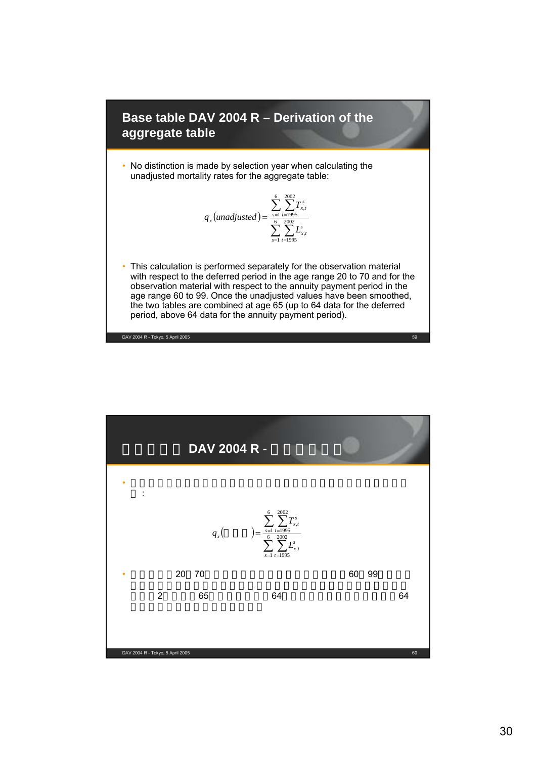

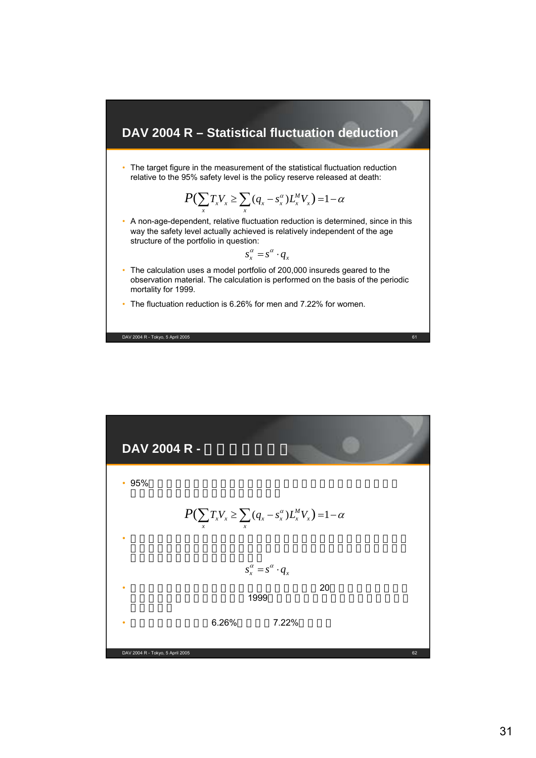#### **DAV 2004 R – Statistical fluctuation deduction**

• The target figure in the measurement of the statistical fluctuation reduction relative to the 95% safety level is the policy reserve released at death:

$$
P(\sum_{x} T_x V_x \geq \sum_{x} (q_x - s_x^{\alpha}) L_x^M V_x) = 1 - \alpha
$$

• A non-age-dependent, relative fluctuation reduction is determined, since in this way the safety level actually achieved is relatively independent of the age structure of the portfolio in question:

$$
s_x^{\alpha} = s^{\alpha} \cdot q_x
$$

- The calculation uses a model portfolio of 200,000 insureds geared to the observation material. The calculation is performed on the basis of the periodic mortality for 1999.
- The fluctuation reduction is 6.26% for men and 7.22% for women.

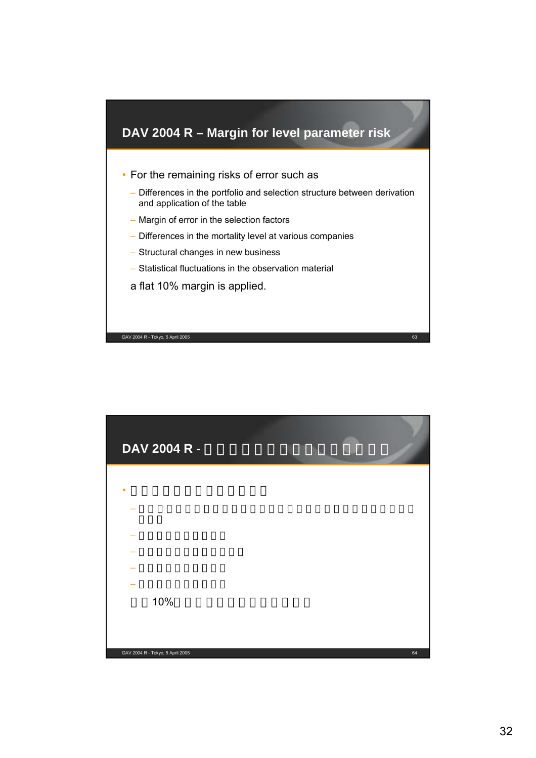

| DAV 2004 R -                     |    |
|----------------------------------|----|
|                                  |    |
|                                  |    |
|                                  |    |
|                                  |    |
|                                  |    |
|                                  |    |
|                                  |    |
| 10%                              |    |
|                                  |    |
|                                  |    |
| DAV 2004 R - Tokyo, 5 April 2005 | 64 |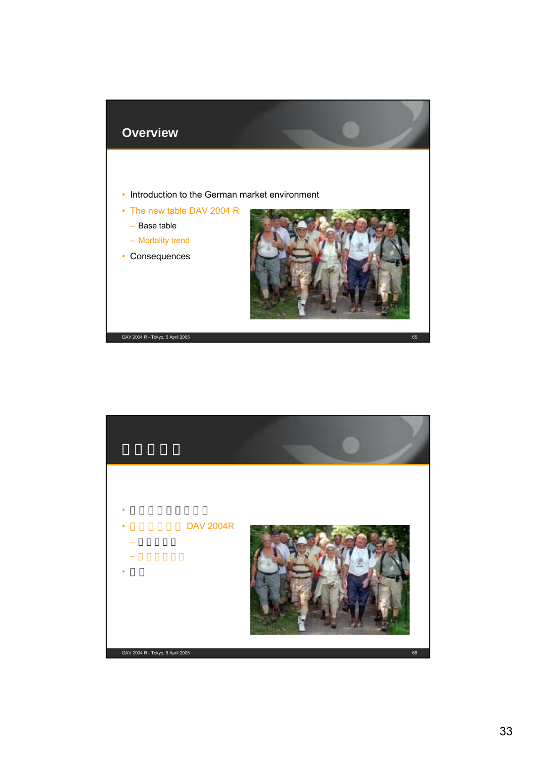

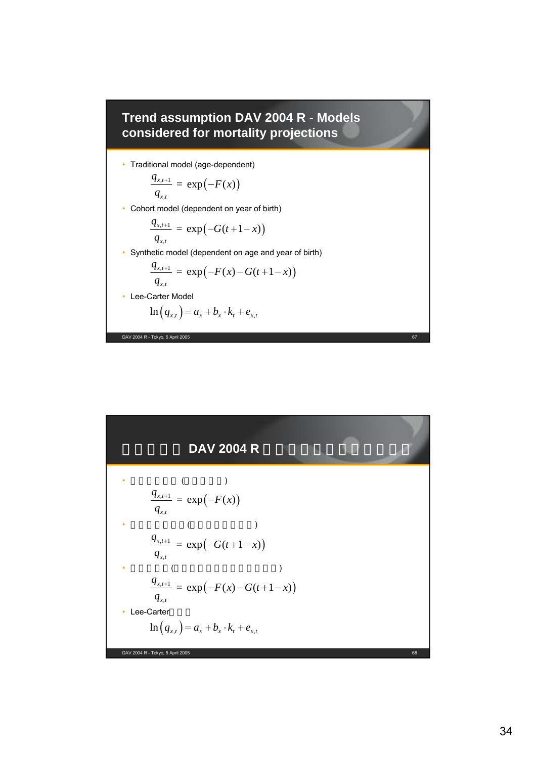

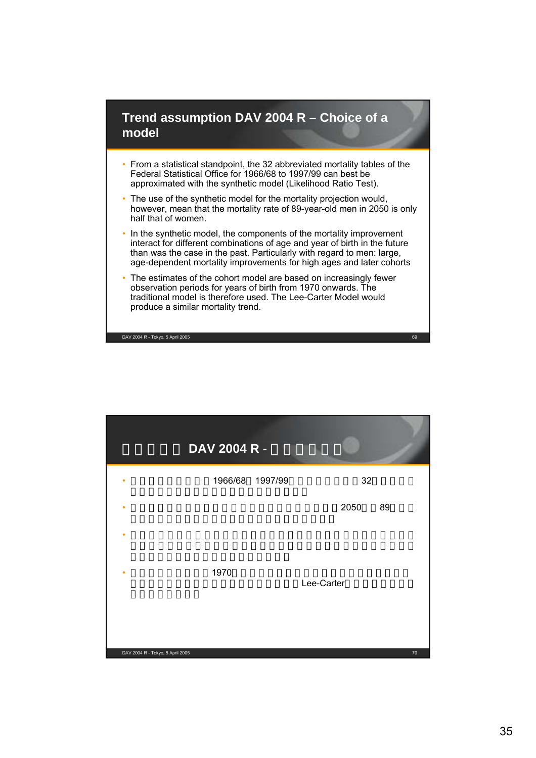#### **Trend assumption DAV 2004 R – Choice of a model**

- From a statistical standpoint, the 32 abbreviated mortality tables of the Federal Statistical Office for 1966/68 to 1997/99 can best be approximated with the synthetic model (Likelihood Ratio Test).
- The use of the synthetic model for the mortality projection would, however, mean that the mortality rate of 89-year-old men in 2050 is only half that of women.
- In the synthetic model, the components of the mortality improvement interact for different combinations of age and year of birth in the future than was the case in the past. Particularly with regard to men: large, age-dependent mortality improvements for high ages and later cohorts
- The estimates of the cohort model are based on increasingly fewer observation periods for years of birth from 1970 onwards. The traditional model is therefore used. The Lee-Carter Model would produce a similar mortality trend.

|                                  | DAV 2004 R - |                 |            |    |
|----------------------------------|--------------|-----------------|------------|----|
| ٠                                |              | 1966/68 1997/99 | 32         |    |
| ٠                                |              |                 | 2050       | 89 |
| ٠                                |              |                 |            |    |
| ٠                                | 1970         |                 | Lee-Carter |    |
| DAV 2004 R - Tokyo, 5 April 2005 |              |                 |            | 70 |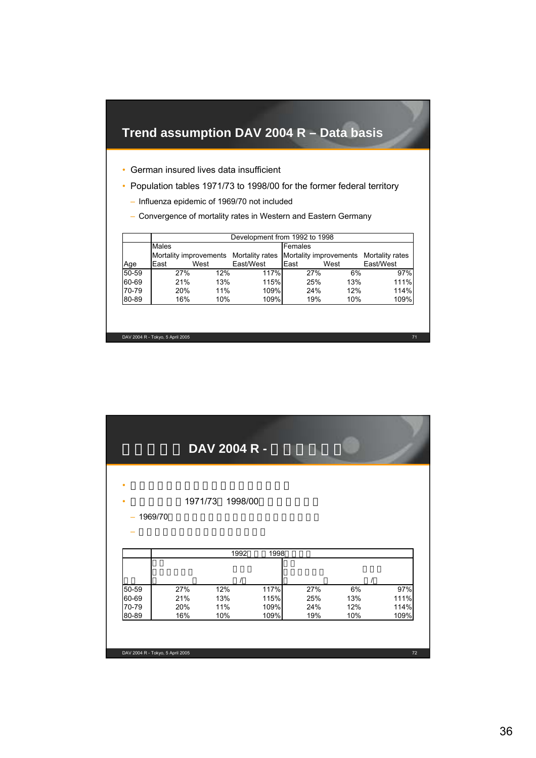# **Trend assumption DAV 2004 R – Data basis**

- German insured lives data insufficient
- Population tables 1971/73 to 1998/00 for the former federal territory
	- Influenza epidemic of 1969/70 not included
	- Convergence of mortality rates in Western and Eastern Germany

|       | Development from 1992 to 1998 |     |                                        |         |           |                                        |  |  |  |
|-------|-------------------------------|-----|----------------------------------------|---------|-----------|----------------------------------------|--|--|--|
|       | Males                         |     |                                        | Females |           |                                        |  |  |  |
|       |                               |     | Mortality improvements Mortality rates |         |           | Mortality improvements Mortality rates |  |  |  |
| Age   | East<br>West                  |     | East/West                              | East    | East/West |                                        |  |  |  |
| 50-59 | 27%                           | 12% | 117%                                   | 27%     | 6%        | 97%                                    |  |  |  |
| 60-69 | 21%                           | 13% | 115%                                   | 25%     | 13%       | 111%                                   |  |  |  |
| 70-79 | 20%                           | 11% | 109%                                   | 24%     | 12%       | 114%                                   |  |  |  |
| 80-89 | 16%                           | 10% | 109%                                   | 19%     | 10%       | 109%                                   |  |  |  |

|                   |         | DAV 2004 R - |              |     |     |             |
|-------------------|---------|--------------|--------------|-----|-----|-------------|
| ٠<br>٠<br>1969/70 | 1971/73 | 1998/00      |              |     |     |             |
|                   |         |              |              |     |     |             |
|                   |         | 1992         | 1998         |     |     |             |
| 50-59             | 27%     | 12%          |              | 27% | 6%  |             |
| 60-69             | 21%     | 13%          | 117%<br>115% | 25% | 13% | 97%<br>111% |
| 70-79             | 20%     | 11%          | 109%         | 24% | 12% | 114%        |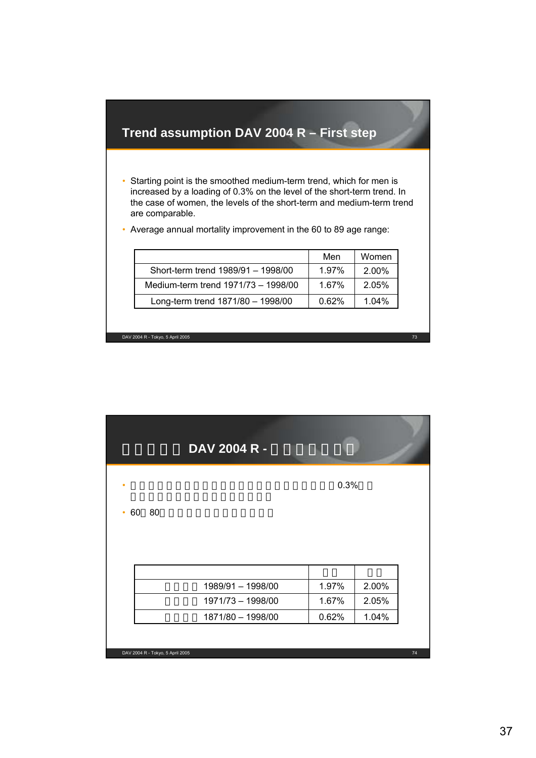## **Trend assumption DAV 2004 R – First step**

• Starting point is the smoothed medium-term trend, which for men is increased by a loading of 0.3% on the level of the short-term trend. In the case of women, the levels of the short-term and medium-term trend are comparable.

|                                     | Men   | Women    |
|-------------------------------------|-------|----------|
| Short-term trend 1989/91 - 1998/00  | 1.97% | $2.00\%$ |
| Medium-term trend 1971/73 - 1998/00 | 1.67% | 2.05%    |
| Long-term trend 1871/80 - 1998/00   | 0.62% | $1.04\%$ |

• Average annual mortality improvement in the 60 to 89 age range:

DAV 2004 R - Tokyo, 5 April 2005 73

DAV 2004 R - Tokyo, 5 April 2005 74 DAV 2004 R -•  $0.3\%$ • 60 80 1871/80 – 1998/00  $\vert$  0.62% 1.04%  $1971/73 - 1998/00$  1.67% 2.05% 1989/91 – 1998/00 1.97% 2.00% 男性 女性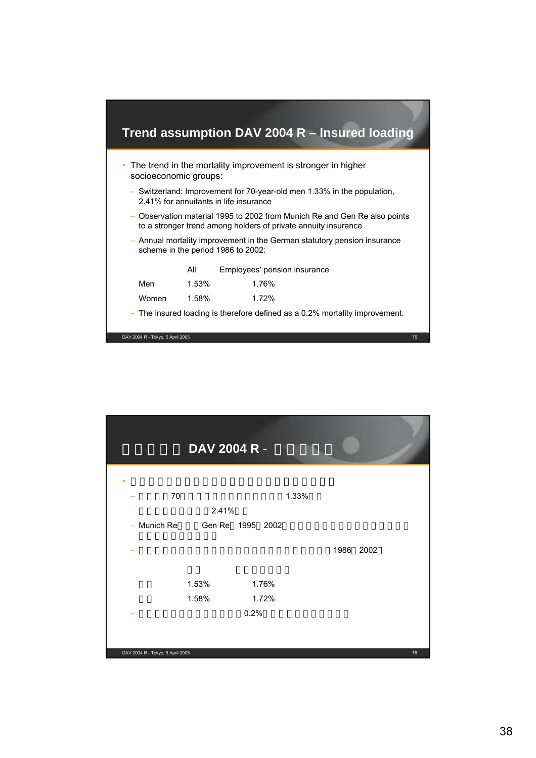

|                                  | DAV 2004 R - |                  |       |           |
|----------------------------------|--------------|------------------|-------|-----------|
|                                  |              |                  |       |           |
| 70                               |              |                  | 1.33% |           |
|                                  | 2.41%        |                  |       |           |
| - Munich Re                      |              | Gen Re 1995 2002 |       |           |
|                                  |              |                  |       | 1986 2002 |
|                                  | 1.53%        | 1.76%            |       |           |
|                                  | 1.58%        | 1.72%            |       |           |
|                                  |              | 0.2%             |       |           |
|                                  |              |                  |       |           |
| DAV 2004 R - Tokyo, 5 April 2005 |              |                  |       | 76        |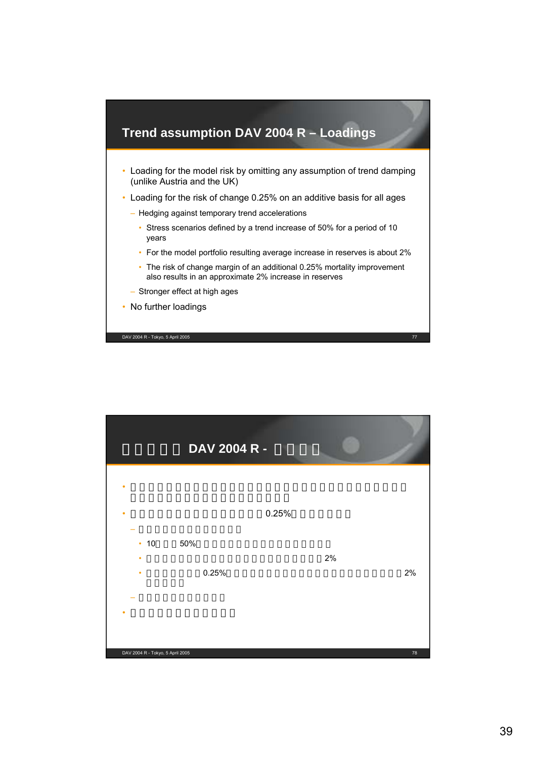

|                                  | DAV 2004 R - |       |            |
|----------------------------------|--------------|-------|------------|
|                                  |              | 0.25% |            |
| 10<br>$\bullet$<br>٠<br>٠        | 50%<br>0.25% | 2%    | 2%         |
| DAV 2004 R - Tokyo, 5 April 2005 |              |       | ${\bf 78}$ |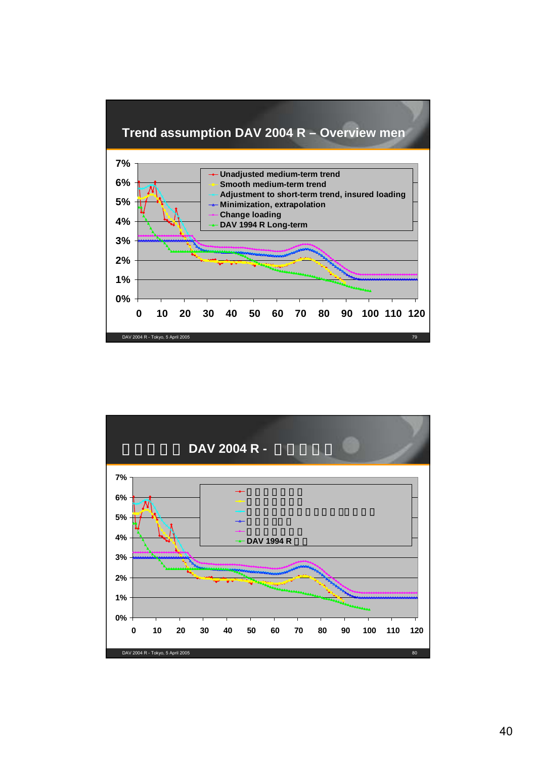#### **Trend assumption DAV 2004 R – Overview men**



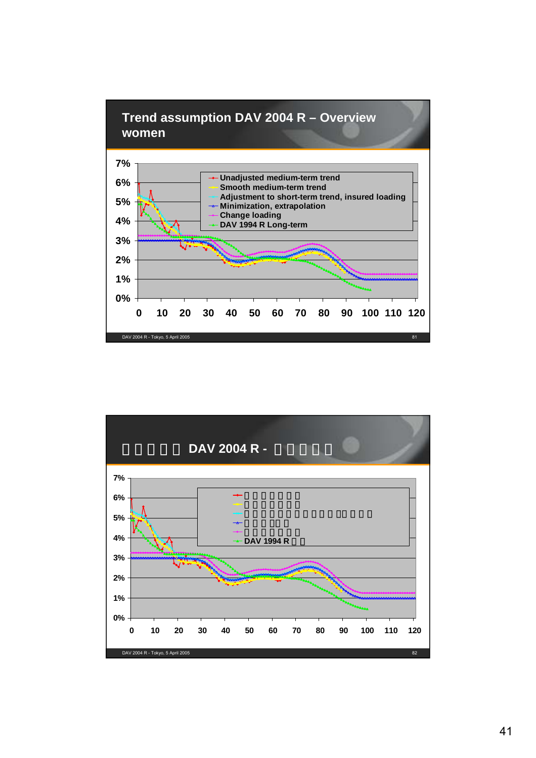

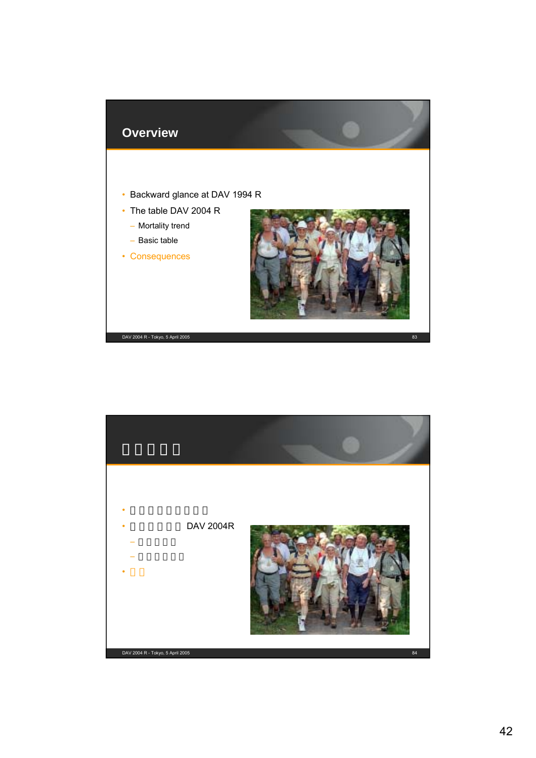

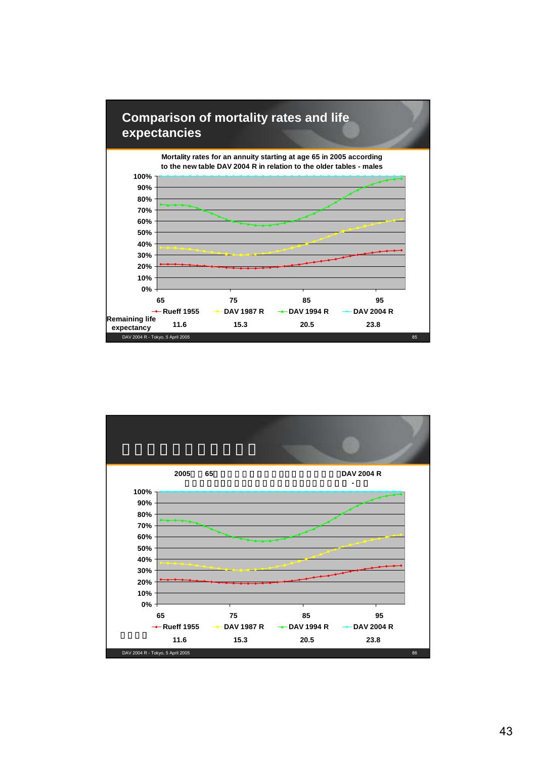

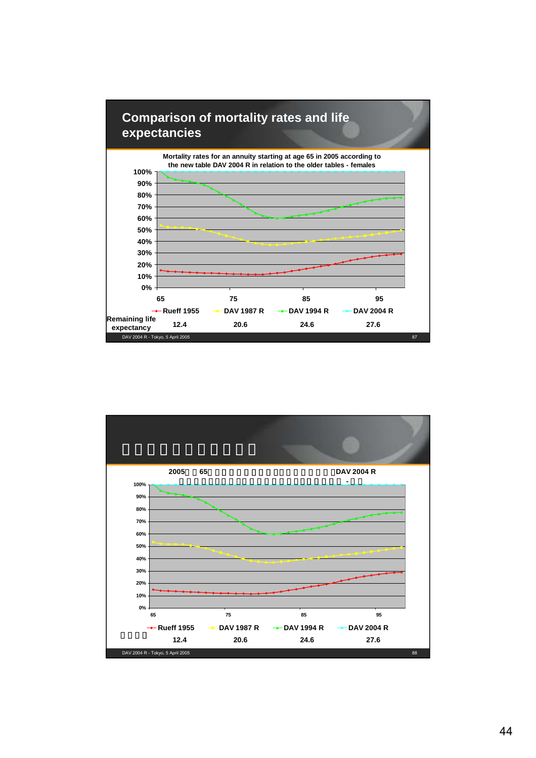

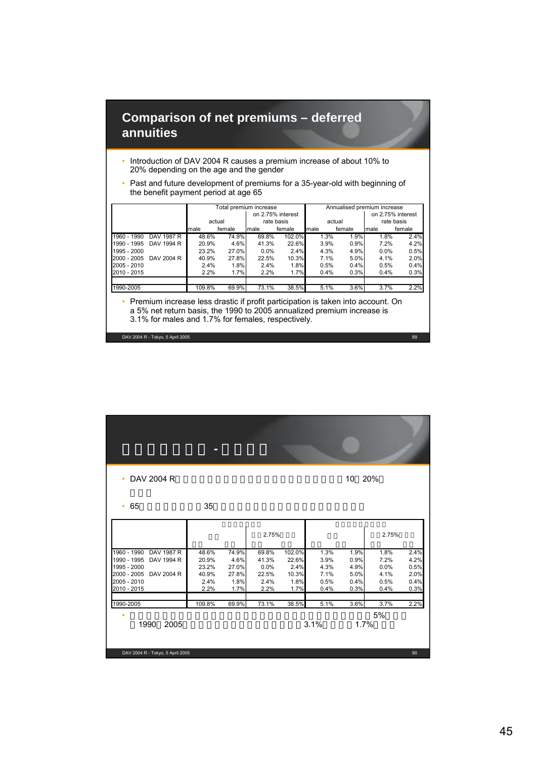#### **Comparison of net premiums – deferred annuities**

- Introduction of DAV 2004 R causes a premium increase of about 10% to 20% depending on the age and the gender
- Past and future development of premiums for a 35-year-old with beginning of the benefit payment period at age 65

|             |            | Total premium increase |                      |         |        |      |         | Annualised premium increase |        |
|-------------|------------|------------------------|----------------------|---------|--------|------|---------|-----------------------------|--------|
|             |            | on 2.75% interest      |                      |         |        |      |         | on 2.75% interest           |        |
|             |            |                        | rate basis<br>actual |         |        |      | actual  | rate basis                  |        |
|             |            | male                   | female               | male    | female | male | female  | male                        | female |
| 1960 - 1990 | DAV 1987 R | 48.6%                  | 74.9%                | 69.8%   | 102.0% | 1.3% | 1.9%    | $1.8\%$                     | 2.4%   |
| 1990 - 1995 | DAV 1994 R | 20.9%                  | 4.6%                 | 41.3%   | 22.6%  | 3.9% | 0.9%    | 7.2%                        | 4.2%   |
| 1995 - 2000 |            | 23.2%                  | 27.0%                | $0.0\%$ | 2.4%   | 4.3% | 4.9%    | $0.0\%$                     | 0.5%   |
| 2000 - 2005 | DAV 2004 R | 40.9%                  | 27.8%                | 22.5%   | 10.3%  | 7.1% | 5.0%    | 4.1%                        | 2.0%   |
| 2005 - 2010 |            | 2.4%                   | 1.8%                 | 2.4%    | 1.8%   | 0.5% | 0.4%    | 0.5%                        | 0.4%   |
| 2010 - 2015 |            | 2.2%                   | 1.7%                 | 2.2%    | 1.7%   | 0.4% | 0.3%    | 0.4%                        | 0.3%   |
|             |            |                        |                      |         |        |      |         |                             |        |
| 1990-2005   |            | 109.8%                 | 69.9%                | 73.1%   | 38.5%  | 5.1% | $3.6\%$ | 3.7%                        | 2.2%   |

• Premium increase less drastic if profit participation is taken into account. On a 5% net return basis, the 1990 to 2005 annualized premium increase is 3.1% for males and 1.7% for females, respectively.

DAV 2004 R - Tokyo, 5 April 2005 89

DAV 2004 R - Tokyo, 5 April 2005 90 • DAV 2004 Rを適用すると、年齢および性別により保険料が10 20% • 65  $\hspace{1cm}35$ •  $\bullet$ 1990 2005 3.1% 3.1% 1.7% 保険料増加合計 年換算保険料上昇率 男性 女性 男性 女性 男性 女性 男性 女性 1960 - 1990 DAV 1987 R 48.6% 74.9% 69.8% 102.0% 1.3% 1.9% 1.8% 2.4% 1990 - 1995 DAV 1994 R 20.9% 4.6% 41.3% 22.6% 3.9% 0.9% 7.2% 4.2% 1995 - 2000 23.2% 27.0% 0.0% 2.4% 4.3% 4.9% 0.0% 0.5% 2000 - 2005 DAV 2004 R 40.9% 27.8% 22.5% 10.3% 7.1% 5.0% 4.1% 2.0% 2005 - 2010 2.4% 1.8% 2.4% 1.8% 0.5% 0.4% 0.5% 0.4% 2010 - 2015 2.2% 1.7% 2.2% 1.7% 0.4% 0.3% 0.4% 0.3% 1990-2005 109.8% 69.9% 73.1% 38.5% 5.1% 3.6% 3.7% 2.2%  $2.75\%$  2.75%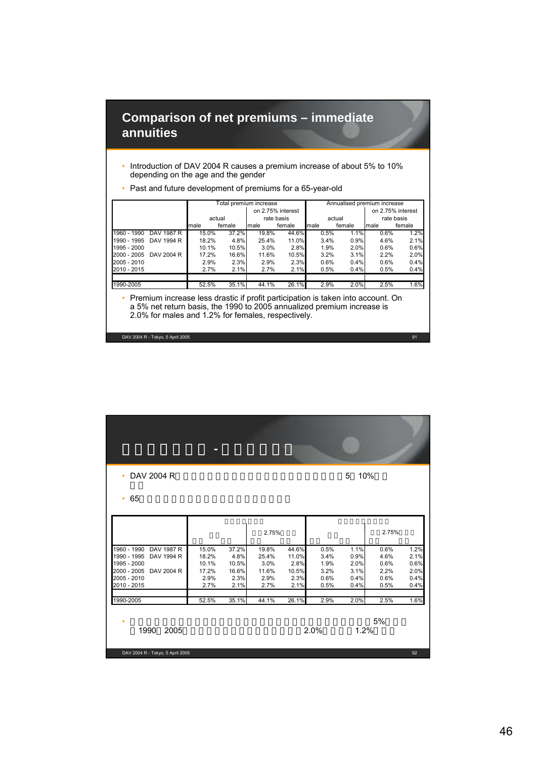#### **Comparison of net premiums – immediate annuities**

• Introduction of DAV 2004 R causes a premium increase of about 5% to 10% depending on the age and the gender

|             |            |       | Total premium increase |                   |            | Annualised premium increase |        |                   |        |  |
|-------------|------------|-------|------------------------|-------------------|------------|-----------------------------|--------|-------------------|--------|--|
|             |            |       |                        | on 2.75% interest |            |                             |        | on 2.75% interest |        |  |
|             |            |       | actual                 |                   | rate basis |                             | actual | rate basis        |        |  |
|             |            | male  | female                 | male              | female     | male                        | female | male              | female |  |
| 1960 - 1990 | DAV 1987 R | 15.0% | 37.2%                  | 19.8%             | 44.6%      | 0.5%                        | 1.1%   | 0.6%              | 1.2%   |  |
| 1990 - 1995 | DAV 1994 R | 18.2% | 4.8%                   | 25.4%             | 11.0%      | 3.4%                        | 0.9%   | 4.6%              | 2.1%   |  |
| 1995 - 2000 |            | 10.1% | 10.5%                  | 3.0%              | 2.8%       | 1.9%                        | 2.0%   | 0.6%              | 0.6%   |  |
| 2000 - 2005 | DAV 2004 R | 17.2% | 16.6%                  | 11.6%             | 10.5%      | 3.2%                        | 3.1%   | 2.2%              | 2.0%   |  |
| 2005 - 2010 |            | 2.9%  | 2.3%                   | 2.9%              | 2.3%       | 0.6%                        | 0.4%   | 0.6%              | 0.4%   |  |
| 2010 - 2015 |            | 2.7%  | 2.1%                   | 2.7%              | 2.1%       | 0.5%                        | 0.4%   | 0.5%              | 0.4%   |  |
| 1990-2005   |            | 52.5% | 35.1%                  | 44.1%             | 26.1%      | 2.9%                        | 2.0%   | 2.5%              | 1.6%   |  |

• Past and future development of premiums for a 65-year-old

• Premium increase less drastic if profit participation is taken into account. On a 5% net return basis, the 1990 to 2005 annualized premium increase is 2.0% for males and 1.2% for females, respectively.

DAV 2004 R - Tokyo, 5 April 2005 91

DAV 2004 R - Tokyo, 5 April 2005 92 • DAV 2004 Rを適用すると、年齢および性別により保険料が5 10%増と • 65 $\,$ •  $\bullet$ 1990 2005 2.0% 1.2% 保険料増加合計 年換算保険料上昇率 男性 女性 男性 女性 男性 女性 男性 女性 1960 - 1990 DAV 1987 R 15.0% 37.2% 19.8% 44.6% 0.5% 1.1% 0.6% 1.2% 1990 - 1995 DAV 1994 R 18.2% 4.8% 25.4% 11.0% 3.4% 0.9% 4.6% 2.1% 1995 - 2000 10.1% 10.5% 3.0% 2.8% 1.9% 2.0% 0.6% 0.6% 2000 - 2005 DAV 2004 R 17.2% 16.6% 11.6% 10.5% 3.2% 3.1% 2.2% 2.0% 2005 - 2010 2.9% 2.3% 2.9% 2.3% 0.6% 0.4% 0.6% 0.4% 2010 - 2015 2.7% 2.1% 2.7% 2.1% 0.5% 0.4% 0.5% 0.4% 1990-2005 52.5% 35.1% 44.1% 26.1% 2.9% 2.0% 2.5% 1.6%  $2.75\%$  2.75% and  $2.75\%$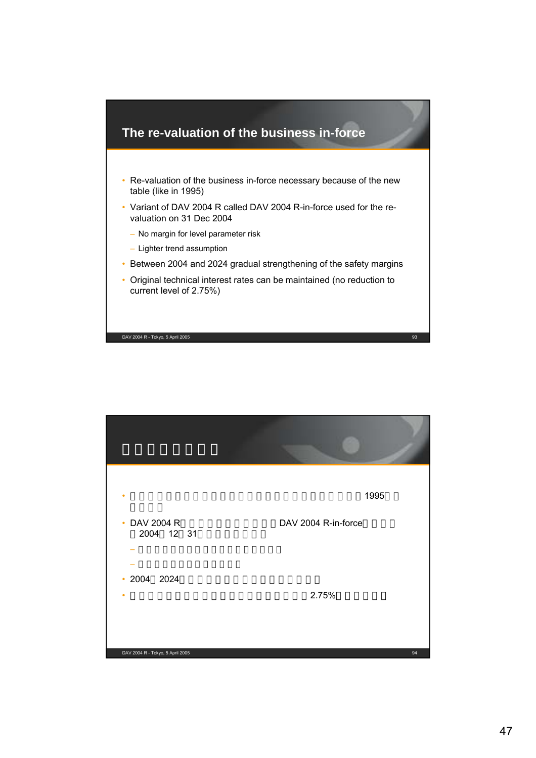

| ٠<br>• DAV 2004 R                | 1995<br>DAV 2004 R-in-force |
|----------------------------------|-----------------------------|
| 2004 12 31<br>$\cdot$ 2004 2024  |                             |
|                                  | 2.75%                       |
| DAV 2004 R - Tokyo, 5 April 2005 | 94                          |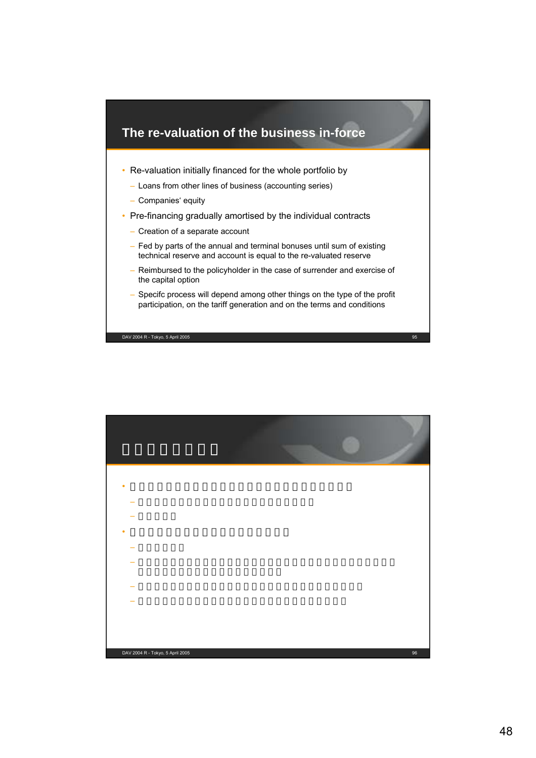

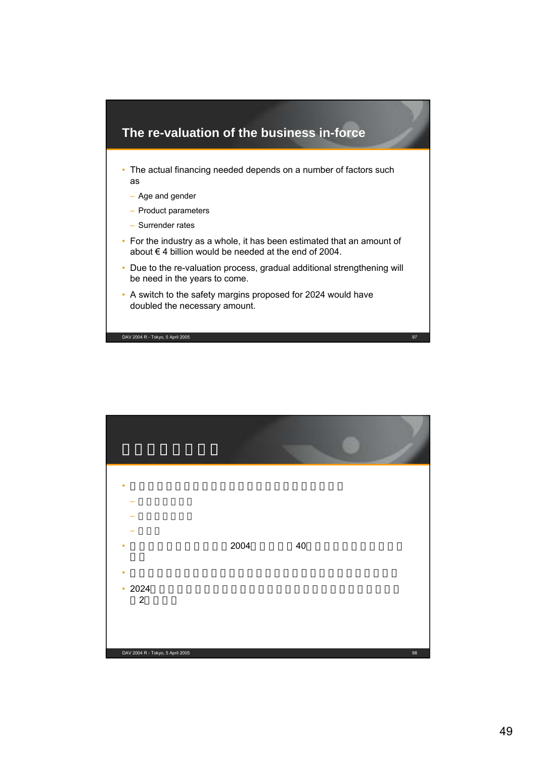

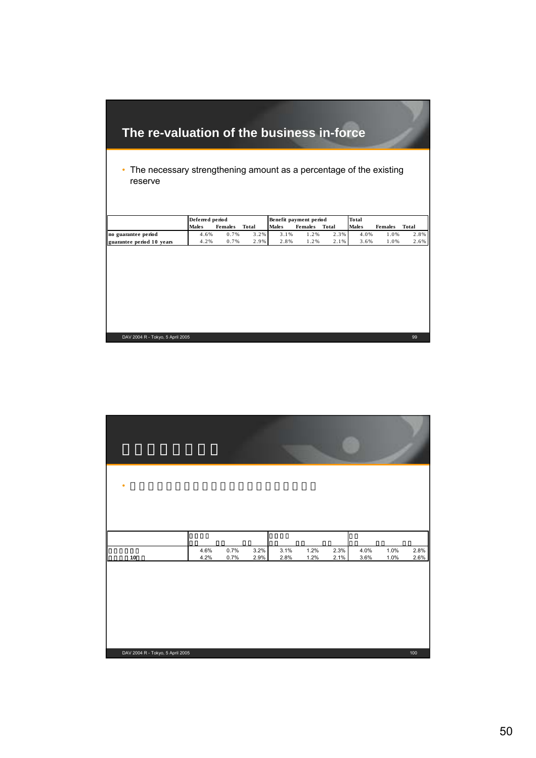# **The re-valuation of the business in-force**

• The necessary strengthening amount as a percentage of the existing reserve

|                           | Deferred period |                |       |              | Benefit payment period |       | Total |                |         |
|---------------------------|-----------------|----------------|-------|--------------|------------------------|-------|-------|----------------|---------|
|                           | <b>Males</b>    | <b>Females</b> | Total | <b>Males</b> | <b>Females</b>         | Total | Males | <b>Females</b> | Total   |
| no guarantee period       | 4.6%            | 0.7%           | 3.2%  | , 1%         | $.2\%$                 | 2.3%  | 4.0%  | .0%            | 2.8%    |
| guarantee period 10 years | 4.2%            | 0.7%           | 2.9%  | 2.8%         | $.2\%$                 | 2.1%  | 3.6%  | .0%            | $2.6\%$ |

| DAV 2004 R - Tokyo, 5 April 2005 | ${\bf 10}$   | ٠ |  |
|----------------------------------|--------------|---|--|
|                                  | 4.6%<br>4.2% |   |  |
|                                  | 0.7%<br>0.7% |   |  |
|                                  | 3.2%<br>2.9% |   |  |
|                                  | 3.1%<br>2.8% |   |  |
|                                  | 1.2%<br>1.2% |   |  |
|                                  | 2.3%<br>2.1% |   |  |
|                                  | 4.0%<br>3.6% |   |  |
|                                  | 1.0%<br>1.0% |   |  |
| 100                              | 2.8%<br>2.6% |   |  |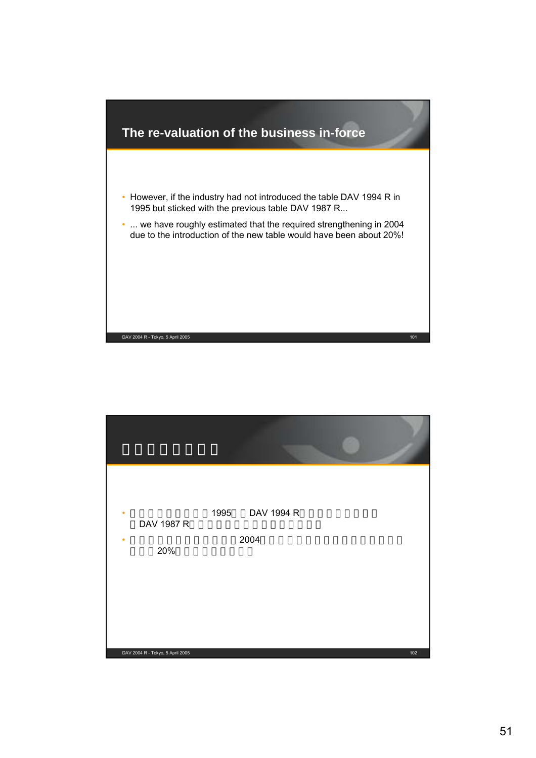

| ٠<br>DAV 1987 R<br>20%           | 1995 DAV 1994 R<br>2004 |     |
|----------------------------------|-------------------------|-----|
| DAV 2004 R - Tokyo, 5 April 2005 |                         | 102 |